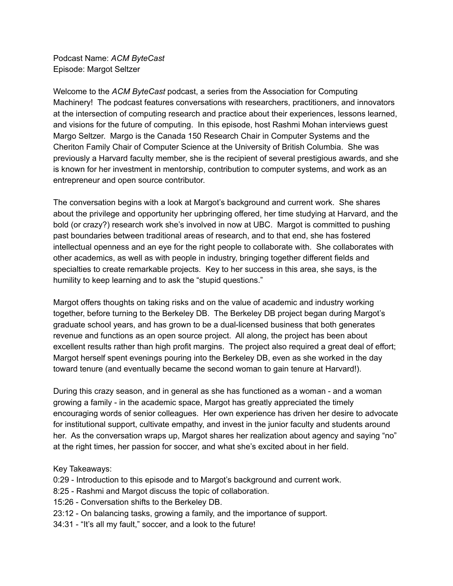Podcast Name: *ACM ByteCast* Episode: Margot Seltzer

Welcome to the *ACM ByteCast* podcast, a series from the Association for Computing Machinery! The podcast features conversations with researchers, practitioners, and innovators at the intersection of computing research and practice about their experiences, lessons learned, and visions for the future of computing. In this episode, host Rashmi Mohan interviews guest Margo Seltzer. Margo is the Canada 150 Research Chair in Computer Systems and the Cheriton Family Chair of Computer Science at the University of British Columbia. She was previously a Harvard faculty member, she is the recipient of several prestigious awards, and she is known for her investment in mentorship, contribution to computer systems, and work as an entrepreneur and open source contributor.

The conversation begins with a look at Margot's background and current work. She shares about the privilege and opportunity her upbringing offered, her time studying at Harvard, and the bold (or crazy?) research work she's involved in now at UBC. Margot is committed to pushing past boundaries between traditional areas of research, and to that end, she has fostered intellectual openness and an eye for the right people to collaborate with. She collaborates with other academics, as well as with people in industry, bringing together different fields and specialties to create remarkable projects. Key to her success in this area, she says, is the humility to keep learning and to ask the "stupid questions."

Margot offers thoughts on taking risks and on the value of academic and industry working together, before turning to the Berkeley DB. The Berkeley DB project began during Margot's graduate school years, and has grown to be a dual-licensed business that both generates revenue and functions as an open source project. All along, the project has been about excellent results rather than high profit margins. The project also required a great deal of effort; Margot herself spent evenings pouring into the Berkeley DB, even as she worked in the day toward tenure (and eventually became the second woman to gain tenure at Harvard!).

During this crazy season, and in general as she has functioned as a woman - and a woman growing a family - in the academic space, Margot has greatly appreciated the timely encouraging words of senior colleagues. Her own experience has driven her desire to advocate for institutional support, cultivate empathy, and invest in the junior faculty and students around her. As the conversation wraps up, Margot shares her realization about agency and saying "no" at the right times, her passion for soccer, and what she's excited about in her field.

Key Takeaways:

- 0:29 Introduction to this episode and to Margot's background and current work.
- 8:25 Rashmi and Margot discuss the topic of collaboration.
- 15:26 Conversation shifts to the Berkeley DB.
- 23:12 On balancing tasks, growing a family, and the importance of support.
- 34:31 "It's all my fault," soccer, and a look to the future!